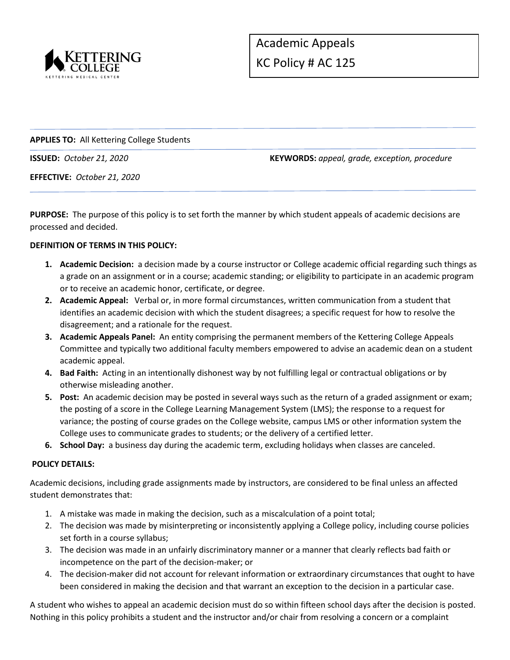

## **APPLIES TO:** All Kettering College Students

**ISSUED:** *October 21, 2020* **KEYWORDS:** *appeal, grade, exception, procedure*

**EFFECTIVE:** *October 21, 2020*

**PURPOSE:** The purpose of this policy is to set forth the manner by which student appeals of academic decisions are processed and decided.

### **DEFINITION OF TERMS IN THIS POLICY:**

- **1. Academic Decision:** a decision made by a course instructor or College academic official regarding such things as a grade on an assignment or in a course; academic standing; or eligibility to participate in an academic program or to receive an academic honor, certificate, or degree.
- **2. Academic Appeal:** Verbal or, in more formal circumstances, written communication from a student that identifies an academic decision with which the student disagrees; a specific request for how to resolve the disagreement; and a rationale for the request.
- **3. Academic Appeals Panel:** An entity comprising the permanent members of the Kettering College Appeals Committee and typically two additional faculty members empowered to advise an academic dean on a student academic appeal.
- **4. Bad Faith:** Acting in an intentionally dishonest way by not fulfilling legal or contractual obligations or by otherwise misleading another.
- **5. Post:** An academic decision may be posted in several ways such as the return of a graded assignment or exam; the posting of a score in the College Learning Management System (LMS); the response to a request for variance; the posting of course grades on the College website, campus LMS or other information system the College uses to communicate grades to students; or the delivery of a certified letter.
- **6. School Day:** a business day during the academic term, excluding holidays when classes are canceled.

### **POLICY DETAILS:**

Academic decisions, including grade assignments made by instructors, are considered to be final unless an affected student demonstrates that:

- 1. A mistake was made in making the decision, such as a miscalculation of a point total;
- 2. The decision was made by misinterpreting or inconsistently applying a College policy, including course policies set forth in a course syllabus;
- 3. The decision was made in an unfairly discriminatory manner or a manner that clearly reflects bad faith or incompetence on the part of the decision-maker; or
- 4. The decision-maker did not account for relevant information or extraordinary circumstances that ought to have been considered in making the decision and that warrant an exception to the decision in a particular case.

A student who wishes to appeal an academic decision must do so within fifteen school days after the decision is posted. Nothing in this policy prohibits a student and the instructor and/or chair from resolving a concern or a complaint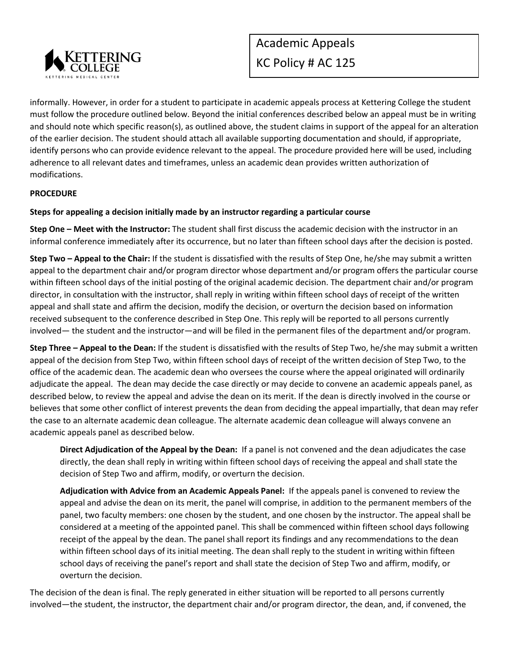

informally. However, in order for a student to participate in academic appeals process at Kettering College the student must follow the procedure outlined below. Beyond the initial conferences described below an appeal must be in writing and should note which specific reason(s), as outlined above, the student claims in support of the appeal for an alteration of the earlier decision. The student should attach all available supporting documentation and should, if appropriate, identify persons who can provide evidence relevant to the appeal. The procedure provided here will be used, including adherence to all relevant dates and timeframes, unless an academic dean provides written authorization of modifications.

### **PROCEDURE**

# **Steps for appealing a decision initially made by an instructor regarding a particular course**

**Step One – Meet with the Instructor:** The student shall first discuss the academic decision with the instructor in an informal conference immediately after its occurrence, but no later than fifteen school days after the decision is posted.

**Step Two – Appeal to the Chair:** If the student is dissatisfied with the results of Step One, he/she may submit a written appeal to the department chair and/or program director whose department and/or program offers the particular course within fifteen school days of the initial posting of the original academic decision. The department chair and/or program director, in consultation with the instructor, shall reply in writing within fifteen school days of receipt of the written appeal and shall state and affirm the decision, modify the decision, or overturn the decision based on information received subsequent to the conference described in Step One. This reply will be reported to all persons currently involved— the student and the instructor—and will be filed in the permanent files of the department and/or program.

**Step Three – Appeal to the Dean:** If the student is dissatisfied with the results of Step Two, he/she may submit a written appeal of the decision from Step Two, within fifteen school days of receipt of the written decision of Step Two, to the office of the academic dean. The academic dean who oversees the course where the appeal originated will ordinarily adjudicate the appeal. The dean may decide the case directly or may decide to convene an academic appeals panel, as described below, to review the appeal and advise the dean on its merit. If the dean is directly involved in the course or believes that some other conflict of interest prevents the dean from deciding the appeal impartially, that dean may refer the case to an alternate academic dean colleague. The alternate academic dean colleague will always convene an academic appeals panel as described below.

**Direct Adjudication of the Appeal by the Dean:** If a panel is not convened and the dean adjudicates the case directly, the dean shall reply in writing within fifteen school days of receiving the appeal and shall state the decision of Step Two and affirm, modify, or overturn the decision.

**Adjudication with Advice from an Academic Appeals Panel:** If the appeals panel is convened to review the appeal and advise the dean on its merit, the panel will comprise, in addition to the permanent members of the panel, two faculty members: one chosen by the student, and one chosen by the instructor. The appeal shall be considered at a meeting of the appointed panel. This shall be commenced within fifteen school days following receipt of the appeal by the dean. The panel shall report its findings and any recommendations to the dean within fifteen school days of its initial meeting. The dean shall reply to the student in writing within fifteen school days of receiving the panel's report and shall state the decision of Step Two and affirm, modify, or overturn the decision.

The decision of the dean is final. The reply generated in either situation will be reported to all persons currently involved—the student, the instructor, the department chair and/or program director, the dean, and, if convened, the